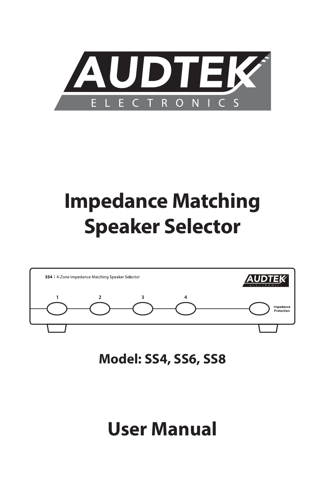

# **Impedance Matching Speaker Selector**



**Model: SS4, SS6, SS8**

## **User Manual**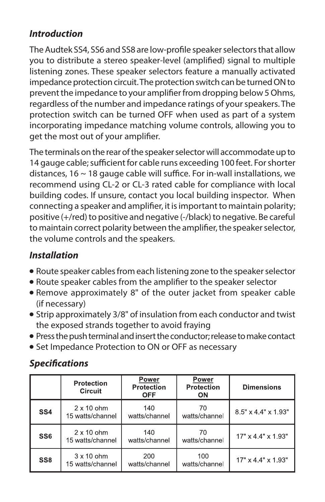### **Introduction**

The Audtek SS4, SS6 and SS8 are low-profile speaker selectors that allow you to distribute a stereo speaker-level (amplified) signal to multiple listening zones. These speaker selectors feature a manually activated impedance protection circuit. The protection switch can be turned ON to prevent the impedance to your amplifier from dropping below 5 Ohms, regardless of the number and impedance ratings of your speakers. The protection switch can be turned OFF when used as part of a system incorporating impedance matching volume controls, allowing you to get the most out of your amplifier.

The terminals on the rear of the speaker selector will accommodate up to 14 gauge cable; sufficient for cable runs exceeding 100 feet. For shorter distances, 16 ~ 18 gauge cable will suffice. For in-wall installations, we recommend using CL-2 or CL-3 rated cable for compliance with local building codes. If unsure, contact you local building inspector. When connecting a speaker and amplifier, it is important to maintain polarity; positive (+/red) to positive and negative (-/black) to negative. Be careful to maintain correct polarity between the amplifier, the speaker selector, the volume controls and the speakers.

#### **Installation**

- Route speaker cables from each listening zone to the speaker selector
- Route speaker cables from the amplifier to the speaker selector
- Remove approximately 8" of the outer jacket from speaker cable (if necessary)
- Strip approximately 3/8" of insulation from each conductor and twist the exposed strands together to avoid fraying
- Press the push terminal and insert the conductor; release to make contact
- Set Impedance Protection to ON or OFF as necessary

### **Specifications**

|                 | <b>Protection</b><br><b>Circuit</b>   | Power<br><b>Protection</b><br><b>OFF</b> | Power<br><b>Protection</b><br><b>ON</b> | <b>Dimensions</b>               |
|-----------------|---------------------------------------|------------------------------------------|-----------------------------------------|---------------------------------|
| SS <sub>4</sub> | $2 \times 10$ ohm<br>15 watts/channel | 140<br>watts/channel                     | 70<br>watts/channel                     | $8.5" \times 4.4" \times 1.93"$ |
| SS <sub>6</sub> | $2 \times 10$ ohm<br>15 watts/channel | 140<br>watts/channel                     | 70<br>watts/channel                     | $17" \times 44" \times 193"$    |
| SS <sub>8</sub> | $3 \times 10$ ohm<br>15 watts/channel | 200<br>watts/channel                     | 100<br>watts/channel                    | $17" \times 44" \times 193"$    |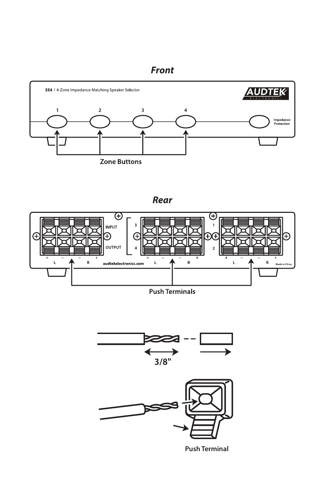#### **Front**



**Rear**



**Push Terminals** 





**Push Terminal**